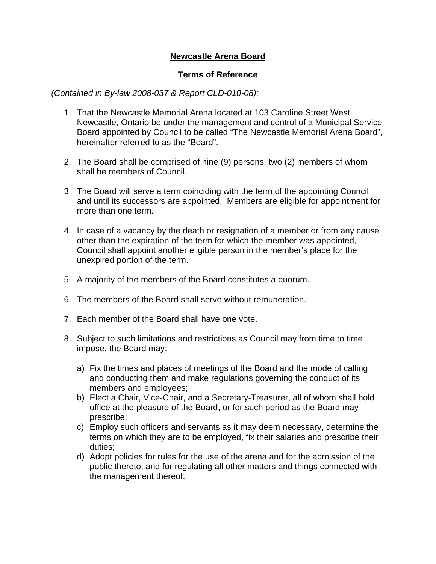## **Newcastle Arena Board**

## **Terms of Reference**

*(Contained in By-law 2008-037 & Report CLD-010-08):* 

- 1. That the Newcastle Memorial Arena located at 103 Caroline Street West, Newcastle, Ontario be under the management and control of a Municipal Service Board appointed by Council to be called "The Newcastle Memorial Arena Board", hereinafter referred to as the "Board".
- 2. The Board shall be comprised of nine (9) persons, two (2) members of whom shall be members of Council.
- 3. The Board will serve a term coinciding with the term of the appointing Council and until its successors are appointed. Members are eligible for appointment for more than one term.
- 4. In case of a vacancy by the death or resignation of a member or from any cause other than the expiration of the term for which the member was appointed, Council shall appoint another eligible person in the member's place for the unexpired portion of the term.
- 5. A majority of the members of the Board constitutes a quorum.
- 6. The members of the Board shall serve without remuneration.
- 7. Each member of the Board shall have one vote.
- 8. Subject to such limitations and restrictions as Council may from time to time impose, the Board may:
	- a) Fix the times and places of meetings of the Board and the mode of calling and conducting them and make regulations governing the conduct of its members and employees;
	- b) Elect a Chair, Vice-Chair, and a Secretary-Treasurer, all of whom shall hold office at the pleasure of the Board, or for such period as the Board may prescribe;
	- c) Employ such officers and servants as it may deem necessary, determine the terms on which they are to be employed, fix their salaries and prescribe their duties;
	- d) Adopt policies for rules for the use of the arena and for the admission of the public thereto, and for regulating all other matters and things connected with the management thereof.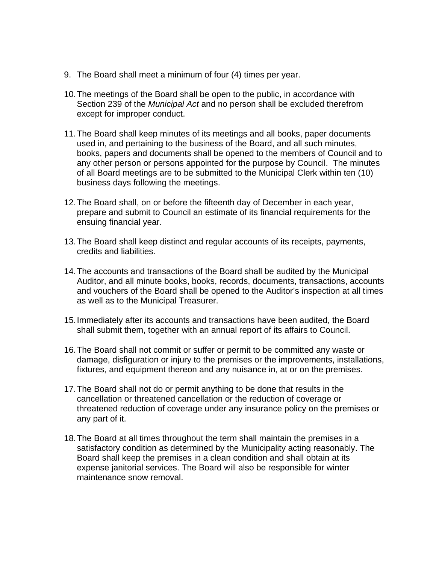- 9. The Board shall meet a minimum of four (4) times per year.
- 10.The meetings of the Board shall be open to the public, in accordance with Section 239 of the *Municipal Act* and no person shall be excluded therefrom except for improper conduct.
- 11.The Board shall keep minutes of its meetings and all books, paper documents used in, and pertaining to the business of the Board, and all such minutes, books, papers and documents shall be opened to the members of Council and to any other person or persons appointed for the purpose by Council. The minutes of all Board meetings are to be submitted to the Municipal Clerk within ten (10) business days following the meetings.
- 12.The Board shall, on or before the fifteenth day of December in each year, prepare and submit to Council an estimate of its financial requirements for the ensuing financial year.
- 13.The Board shall keep distinct and regular accounts of its receipts, payments, credits and liabilities.
- 14.The accounts and transactions of the Board shall be audited by the Municipal Auditor, and all minute books, books, records, documents, transactions, accounts and vouchers of the Board shall be opened to the Auditor's inspection at all times as well as to the Municipal Treasurer.
- 15.Immediately after its accounts and transactions have been audited, the Board shall submit them, together with an annual report of its affairs to Council.
- 16.The Board shall not commit or suffer or permit to be committed any waste or damage, disfiguration or injury to the premises or the improvements, installations, fixtures, and equipment thereon and any nuisance in, at or on the premises.
- 17.The Board shall not do or permit anything to be done that results in the cancellation or threatened cancellation or the reduction of coverage or threatened reduction of coverage under any insurance policy on the premises or any part of it.
- 18.The Board at all times throughout the term shall maintain the premises in a satisfactory condition as determined by the Municipality acting reasonably. The Board shall keep the premises in a clean condition and shall obtain at its expense janitorial services. The Board will also be responsible for winter maintenance snow removal.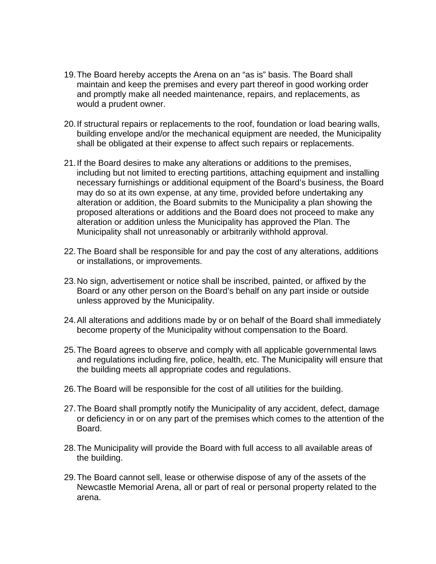- 19.The Board hereby accepts the Arena on an "as is" basis. The Board shall maintain and keep the premises and every part thereof in good working order and promptly make all needed maintenance, repairs, and replacements, as would a prudent owner.
- 20.If structural repairs or replacements to the roof, foundation or load bearing walls, building envelope and/or the mechanical equipment are needed, the Municipality shall be obligated at their expense to affect such repairs or replacements.
- 21.If the Board desires to make any alterations or additions to the premises, including but not limited to erecting partitions, attaching equipment and installing necessary furnishings or additional equipment of the Board's business, the Board may do so at its own expense, at any time, provided before undertaking any alteration or addition, the Board submits to the Municipality a plan showing the proposed alterations or additions and the Board does not proceed to make any alteration or addition unless the Municipality has approved the Plan. The Municipality shall not unreasonably or arbitrarily withhold approval.
- 22.The Board shall be responsible for and pay the cost of any alterations, additions or installations, or improvements.
- 23.No sign, advertisement or notice shall be inscribed, painted, or affixed by the Board or any other person on the Board's behalf on any part inside or outside unless approved by the Municipality.
- 24.All alterations and additions made by or on behalf of the Board shall immediately become property of the Municipality without compensation to the Board.
- 25.The Board agrees to observe and comply with all applicable governmental laws and regulations including fire, police, health, etc. The Municipality will ensure that the building meets all appropriate codes and regulations.
- 26.The Board will be responsible for the cost of all utilities for the building.
- 27.The Board shall promptly notify the Municipality of any accident, defect, damage or deficiency in or on any part of the premises which comes to the attention of the Board.
- 28.The Municipality will provide the Board with full access to all available areas of the building.
- 29.The Board cannot sell, lease or otherwise dispose of any of the assets of the Newcastle Memorial Arena, all or part of real or personal property related to the arena.